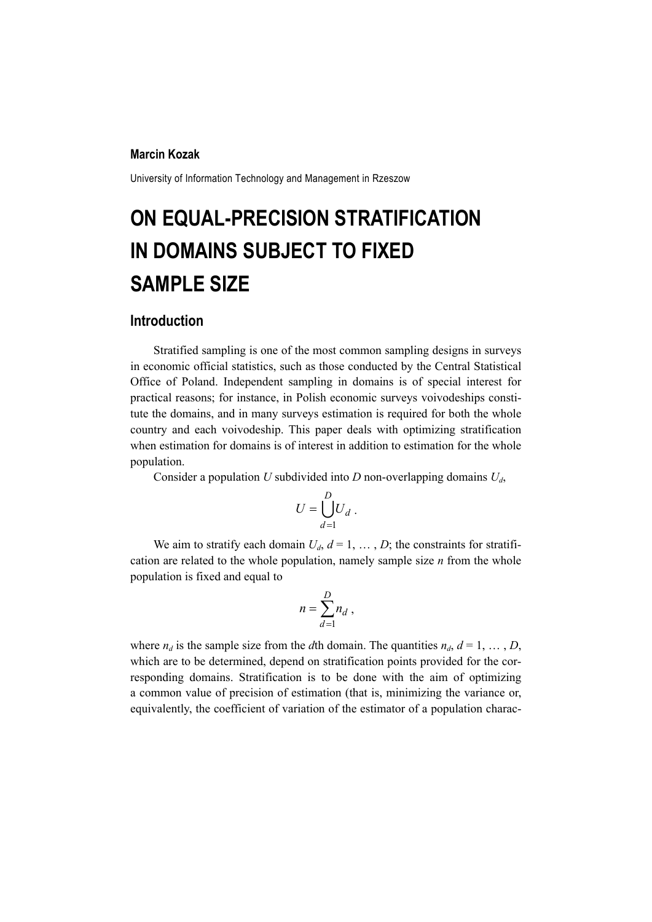### **Marcin Kozak**

University of Information Technology and Management in Rzeszow

# **ON EQUAL-PRECISION STRATIFICATION IN DOMAINS SUBJECT TO FIXED SAMPLE SIZE**

## **Introduction**

Stratified sampling is one of the most common sampling designs in surveys in economic official statistics, such as those conducted by the Central Statistical Office of Poland. Independent sampling in domains is of special interest for practical reasons; for instance, in Polish economic surveys voivodeships constitute the domains, and in many surveys estimation is required for both the whole country and each voivodeship. This paper deals with optimizing stratification when estimation for domains is of interest in addition to estimation for the whole population.

Consider a population *U* subdivided into *D* non-overlapping domains *Ud*,

$$
U = \bigcup_{d=1}^{D} U_d .
$$

We aim to stratify each domain  $U_d$ ,  $d = 1, \ldots, D$ ; the constraints for stratification are related to the whole population, namely sample size *n* from the whole population is fixed and equal to

$$
n=\sum_{d=1}^D n_d,
$$

where  $n_d$  is the sample size from the *d*th domain. The quantities  $n_d$ ,  $d = 1, \ldots, D$ , which are to be determined, depend on stratification points provided for the corresponding domains. Stratification is to be done with the aim of optimizing a common value of precision of estimation (that is, minimizing the variance or, equivalently, the coefficient of variation of the estimator of a population charac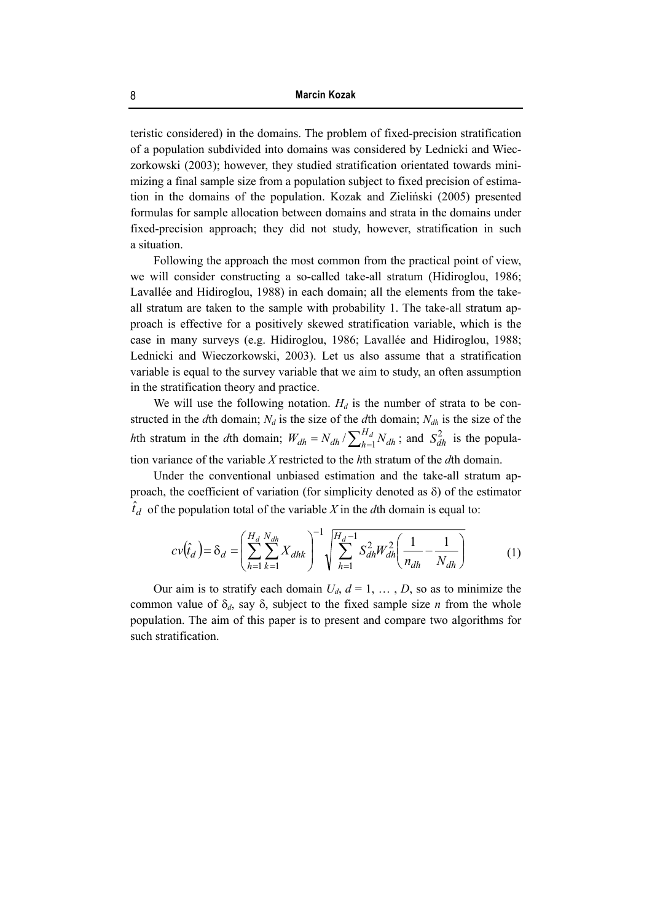teristic considered) in the domains. The problem of fixed-precision stratification of a population subdivided into domains was considered by Lednicki and Wieczorkowski (2003); however, they studied stratification orientated towards minimizing a final sample size from a population subject to fixed precision of estimation in the domains of the population. Kozak and Zieliński (2005) presented formulas for sample allocation between domains and strata in the domains under fixed-precision approach; they did not study, however, stratification in such a situation.

Following the approach the most common from the practical point of view, we will consider constructing a so-called take-all stratum (Hidiroglou, 1986; Lavallée and Hidiroglou, 1988) in each domain; all the elements from the takeall stratum are taken to the sample with probability 1. The take-all stratum approach is effective for a positively skewed stratification variable, which is the case in many surveys (e.g. Hidiroglou, 1986; Lavallée and Hidiroglou, 1988; Lednicki and Wieczorkowski, 2003). Let us also assume that a stratification variable is equal to the survey variable that we aim to study, an often assumption in the stratification theory and practice.

We will use the following notation.  $H_d$  is the number of strata to be constructed in the *d*th domain;  $N_d$  is the size of the *d*th domain;  $N_{dh}$  is the size of the *h*th stratum in the *d*th domain;  $W_{dh} = N_{dh} / \sum_{h=1}^{H_d} N_{dh}$ ; and  $S_{dh}^2$  is the population variance of the variable *X* restricted to the *h*th stratum of the *d*th domain.

Under the conventional unbiased estimation and the take-all stratum approach, the coefficient of variation (for simplicity denoted as  $\delta$ ) of the estimator  $\hat{t}_d$  of the population total of the variable *X* in the *d*th domain is equal to:

$$
cv(\hat{t}_d) = \delta_d = \left(\sum_{h=1}^{H_d} \sum_{k=1}^{N_{dh}} X_{dhk}\right)^{-1} \sqrt{\sum_{h=1}^{H_d - 1} S_{dh}^2 W_{dh}^2 \left(\frac{1}{n_{dh}} - \frac{1}{N_{dh}}\right)}
$$
(1)

Our aim is to stratify each domain  $U_d$ ,  $d = 1, \ldots, D$ , so as to minimize the common value of  $\delta_d$ , say  $\delta$ , subject to the fixed sample size *n* from the whole population. The aim of this paper is to present and compare two algorithms for such stratification.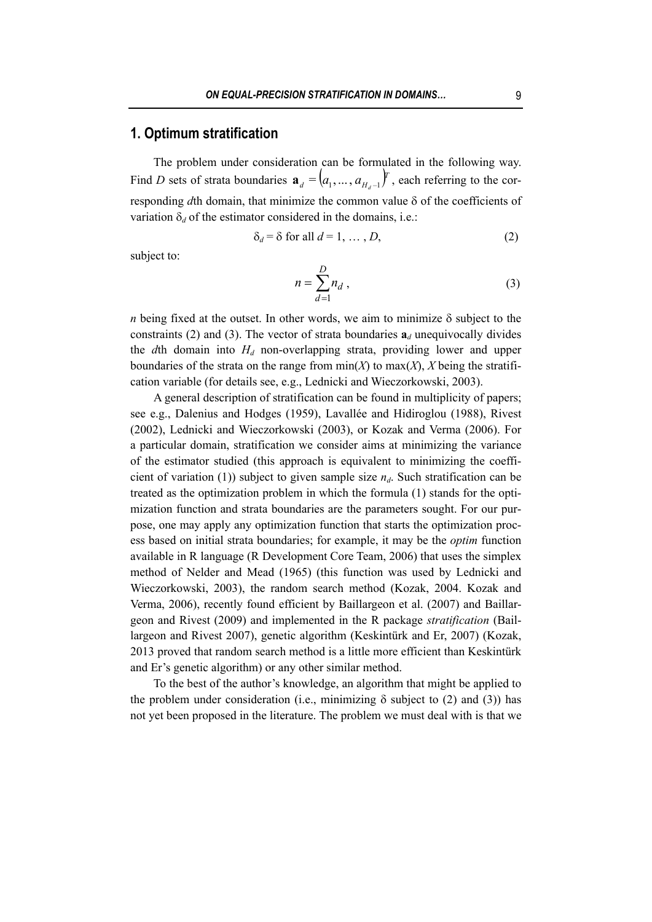## **1. Optimum stratification**

The problem under consideration can be formulated in the following way. Find *D* sets of strata boundaries  $\mathbf{a}_{d} = (a_1, \ldots, a_{H_d-1})^T$ , each referring to the corresponding *d*th domain, that minimize the common value δ of the coefficients of variation  $\delta_d$  of the estimator considered in the domains, i.e.:

$$
\delta_d = \delta \text{ for all } d = 1, \dots, D,
$$
 (2)

subject to:

$$
n = \sum_{d=1}^{D} n_d , \qquad (3)
$$

*n* being fixed at the outset. In other words, we aim to minimize  $\delta$  subject to the constraints (2) and (3). The vector of strata boundaries  $a_d$  unequivocally divides the *d*th domain into  $H_d$  non-overlapping strata, providing lower and upper boundaries of the strata on the range from  $min(X)$  to  $max(X)$ , X being the stratification variable (for details see, e.g., Lednicki and Wieczorkowski, 2003).

A general description of stratification can be found in multiplicity of papers; see e.g., Dalenius and Hodges (1959), Lavallée and Hidiroglou (1988), Rivest (2002), Lednicki and Wieczorkowski (2003), or Kozak and Verma (2006). For a particular domain, stratification we consider aims at minimizing the variance of the estimator studied (this approach is equivalent to minimizing the coefficient of variation (1)) subject to given sample size  $n_d$ . Such stratification can be treated as the optimization problem in which the formula (1) stands for the optimization function and strata boundaries are the parameters sought. For our purpose, one may apply any optimization function that starts the optimization process based on initial strata boundaries; for example, it may be the *optim* function available in R language (R Development Core Team, 2006) that uses the simplex method of Nelder and Mead (1965) (this function was used by Lednicki and Wieczorkowski, 2003), the random search method (Kozak, 2004. Kozak and Verma, 2006), recently found efficient by Baillargeon et al. (2007) and Baillargeon and Rivest (2009) and implemented in the R package *stratification* (Baillargeon and Rivest 2007), genetic algorithm (Keskintürk and Er, 2007) (Kozak, 2013 proved that random search method is a little more efficient than Keskintürk and Er's genetic algorithm) or any other similar method.

To the best of the author's knowledge, an algorithm that might be applied to the problem under consideration (i.e., minimizing  $\delta$  subject to (2) and (3)) has not yet been proposed in the literature. The problem we must deal with is that we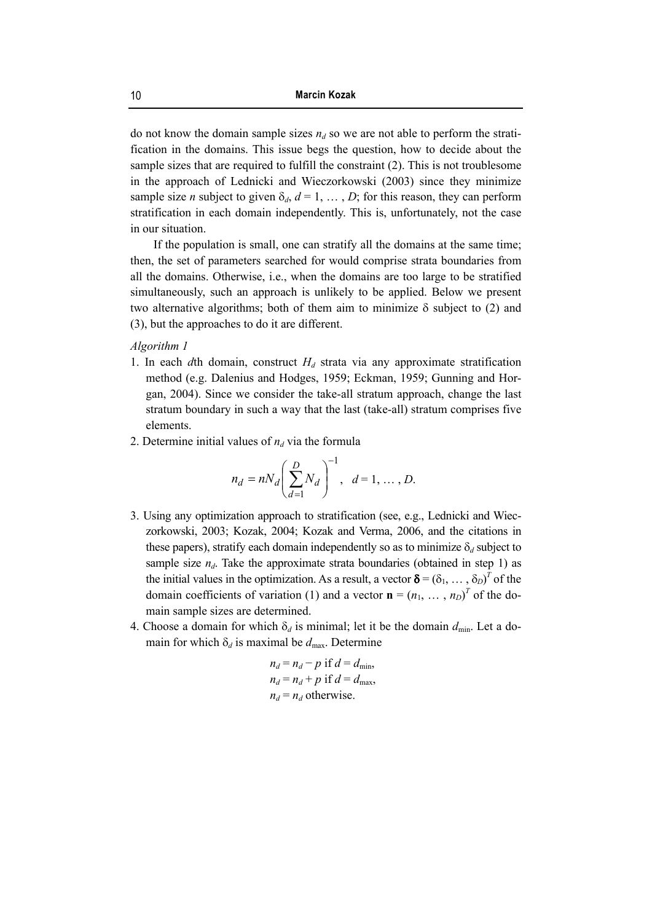do not know the domain sample sizes  $n_d$  so we are not able to perform the stratification in the domains. This issue begs the question, how to decide about the sample sizes that are required to fulfill the constraint (2). This is not troublesome in the approach of Lednicki and Wieczorkowski (2003) since they minimize sample size *n* subject to given  $\delta_d$ ,  $d = 1, \ldots, D$ ; for this reason, they can perform stratification in each domain independently. This is, unfortunately, not the case in our situation.

If the population is small, one can stratify all the domains at the same time; then, the set of parameters searched for would comprise strata boundaries from all the domains. Otherwise, i.e., when the domains are too large to be stratified simultaneously, such an approach is unlikely to be applied. Below we present two alternative algorithms; both of them aim to minimize  $\delta$  subject to (2) and (3), but the approaches to do it are different.

#### *Algorithm 1*

- 1. In each *d*th domain, construct  $H_d$  strata via any approximate stratification method (e.g. Dalenius and Hodges, 1959; Eckman, 1959; Gunning and Horgan, 2004). Since we consider the take-all stratum approach, change the last stratum boundary in such a way that the last (take-all) stratum comprises five elements.
- 2. Determine initial values of  $n_d$  via the formula

$$
n_d = nN_d \left(\sum_{d=1}^{D} N_d\right)^{-1}, \ \ d = 1, \dots, D.
$$

- 3. Using any optimization approach to stratification (see, e.g., Lednicki and Wieczorkowski, 2003; Kozak, 2004; Kozak and Verma, 2006, and the citations in these papers), stratify each domain independently so as to minimize  $\delta_d$  subject to sample size  $n_d$ . Take the approximate strata boundaries (obtained in step 1) as the initial values in the optimization. As a result, a vector  $\delta = (\delta_1, \dots, \delta_D)^T$  of the domain coefficients of variation (1) and a vector  $\mathbf{n} = (n_1, \dots, n_D)^T$  of the domain sample sizes are determined.
- 4. Choose a domain for which  $\delta_d$  is minimal; let it be the domain  $d_{\text{min}}$ . Let a domain for which  $\delta_d$  is maximal be  $d_{\text{max}}$ . Determine

$$
n_d = n_d - p \text{ if } d = d_{\text{min}},
$$
  
\n
$$
n_d = n_d + p \text{ if } d = d_{\text{max}},
$$
  
\n
$$
n_d = n_d \text{ otherwise.}
$$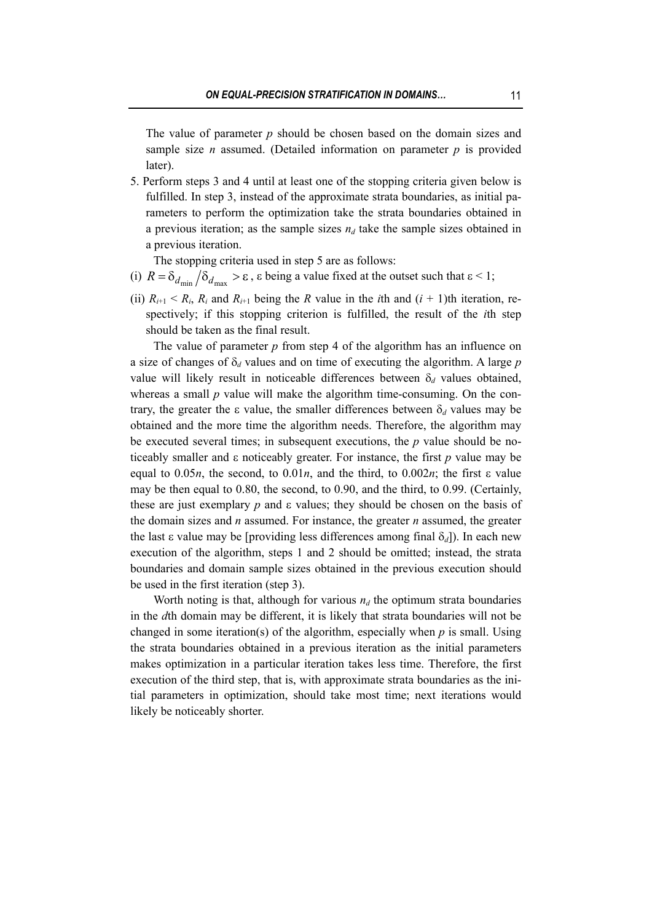The value of parameter *p* should be chosen based on the domain sizes and sample size *n* assumed. (Detailed information on parameter  $p$  is provided later).

5. Perform steps 3 and 4 until at least one of the stopping criteria given below is fulfilled. In step 3, instead of the approximate strata boundaries, as initial parameters to perform the optimization take the strata boundaries obtained in a previous iteration; as the sample sizes  $n_d$  take the sample sizes obtained in a previous iteration.

The stopping criteria used in step 5 are as follows:

- (i)  $R = \delta_{d_{\text{min}}} / \delta_{d_{\text{max}}} > \varepsilon$ ,  $\varepsilon$  being a value fixed at the outset such that  $\varepsilon < 1$ ;
- (ii)  $R_{i+1} < R_i$ ,  $R_i$  and  $R_{i+1}$  being the *R* value in the *i*th and  $(i + 1)$ th iteration, respectively; if this stopping criterion is fulfilled, the result of the *i*th step should be taken as the final result.

The value of parameter  $p$  from step 4 of the algorithm has an influence on a size of changes of δ*d* values and on time of executing the algorithm. A large *p* value will likely result in noticeable differences between  $\delta_d$  values obtained, whereas a small *p* value will make the algorithm time-consuming. On the contrary, the greater the ε value, the smaller differences between δ*d* values may be obtained and the more time the algorithm needs. Therefore, the algorithm may be executed several times; in subsequent executions, the *p* value should be noticeably smaller and ε noticeably greater. For instance, the first *p* value may be equal to 0.05*n*, the second, to 0.01*n*, and the third, to 0.002*n*; the first ε value may be then equal to 0.80, the second, to 0.90, and the third, to 0.99. (Certainly, these are just exemplary *p* and ε values; they should be chosen on the basis of the domain sizes and *n* assumed. For instance, the greater *n* assumed, the greater the last  $\varepsilon$  value may be [providing less differences among final  $\delta_d$ ]). In each new execution of the algorithm, steps 1 and 2 should be omitted; instead, the strata boundaries and domain sample sizes obtained in the previous execution should be used in the first iteration (step 3).

Worth noting is that, although for various  $n_d$  the optimum strata boundaries in the *d*th domain may be different, it is likely that strata boundaries will not be changed in some iteration(s) of the algorithm, especially when *p* is small. Using the strata boundaries obtained in a previous iteration as the initial parameters makes optimization in a particular iteration takes less time. Therefore, the first execution of the third step, that is, with approximate strata boundaries as the initial parameters in optimization, should take most time; next iterations would likely be noticeably shorter.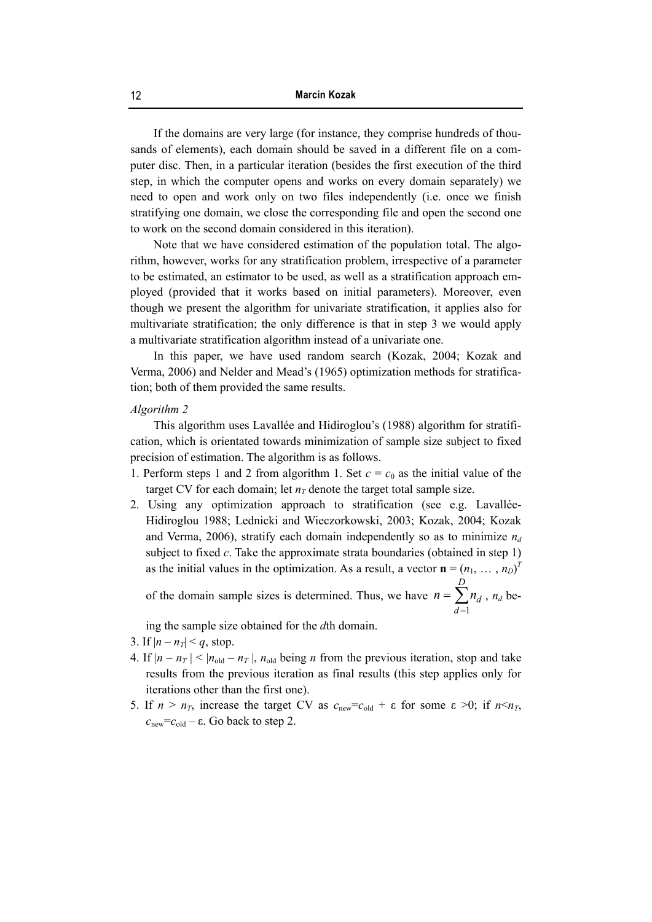If the domains are very large (for instance, they comprise hundreds of thousands of elements), each domain should be saved in a different file on a computer disc. Then, in a particular iteration (besides the first execution of the third step, in which the computer opens and works on every domain separately) we need to open and work only on two files independently (i.e. once we finish stratifying one domain, we close the corresponding file and open the second one to work on the second domain considered in this iteration).

Note that we have considered estimation of the population total. The algorithm, however, works for any stratification problem, irrespective of a parameter to be estimated, an estimator to be used, as well as a stratification approach employed (provided that it works based on initial parameters). Moreover, even though we present the algorithm for univariate stratification, it applies also for multivariate stratification; the only difference is that in step 3 we would apply a multivariate stratification algorithm instead of a univariate one.

In this paper, we have used random search (Kozak, 2004; Kozak and Verma, 2006) and Nelder and Mead's (1965) optimization methods for stratification; both of them provided the same results.

#### *Algorithm 2*

This algorithm uses Lavallée and Hidiroglou's (1988) algorithm for stratification, which is orientated towards minimization of sample size subject to fixed precision of estimation. The algorithm is as follows.

- 1. Perform steps 1 and 2 from algorithm 1. Set  $c = c_0$  as the initial value of the target CV for each domain; let  $n<sub>T</sub>$  denote the target total sample size.
- 2. Using any optimization approach to stratification (see e.g. Lavallée-Hidiroglou 1988; Lednicki and Wieczorkowski, 2003; Kozak, 2004; Kozak and Verma, 2006), stratify each domain independently so as to minimize  $n_d$ subject to fixed *c*. Take the approximate strata boundaries (obtained in step 1) as the initial values in the optimization. As a result, a vector  $\mathbf{n} = (n_1, \ldots, n_D)^T$

of the domain sample sizes is determined. Thus, we have  $n = \sum$ = = *D d*  $n = \sum n_a$ 1 ,  $n_d$  be-

ing the sample size obtained for the *d*th domain.

- 3. If  $|n n_T| < q$ , stop.
- 4. If  $|n n_T| < |n_{old} n_T|$ ,  $n_{old}$  being *n* from the previous iteration, stop and take results from the previous iteration as final results (this step applies only for iterations other than the first one).
- 5. If  $n > n<sub>T</sub>$ , increase the target CV as  $c_{\text{new}} = c_{\text{old}} + \varepsilon$  for some  $\varepsilon > 0$ ; if  $n \le n<sub>T</sub>$ ,  $c<sub>new</sub>=c<sub>old</sub> - ε$ . Go back to step 2.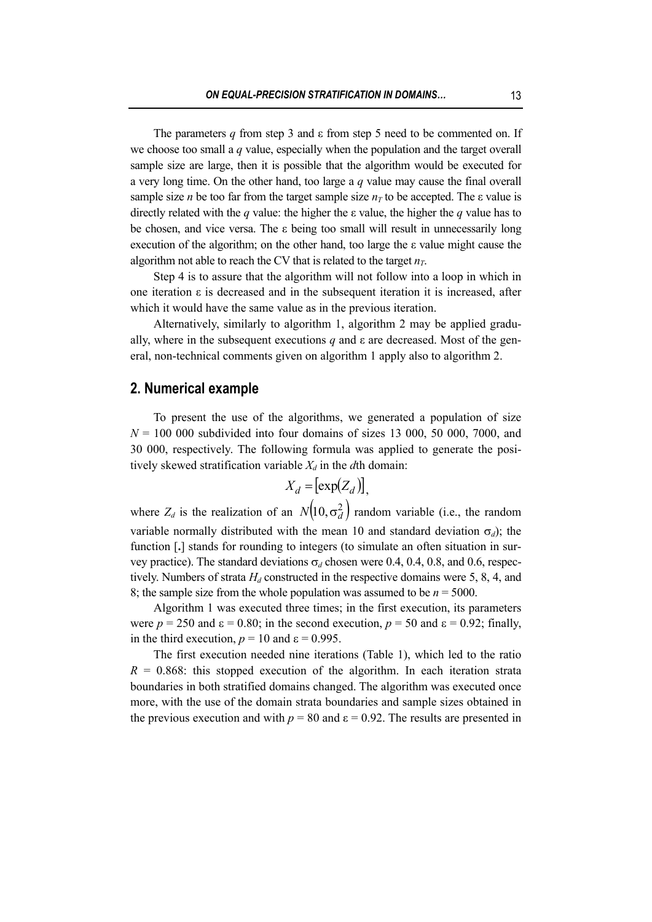The parameters *q* from step 3 and ε from step 5 need to be commented on. If we choose too small a *q* value, especially when the population and the target overall sample size are large, then it is possible that the algorithm would be executed for a very long time. On the other hand, too large a *q* value may cause the final overall sample size *n* be too far from the target sample size  $n<sub>T</sub>$  to be accepted. The  $\varepsilon$  value is directly related with the *q* value: the higher the ε value, the higher the *q* value has to be chosen, and vice versa. The ε being too small will result in unnecessarily long execution of the algorithm; on the other hand, too large the ε value might cause the algorithm not able to reach the CV that is related to the target  $n<sub>T</sub>$ .

Step 4 is to assure that the algorithm will not follow into a loop in which in one iteration ε is decreased and in the subsequent iteration it is increased, after which it would have the same value as in the previous iteration.

Alternatively, similarly to algorithm 1, algorithm 2 may be applied gradually, where in the subsequent executions  $q$  and  $\varepsilon$  are decreased. Most of the general, non-technical comments given on algorithm 1 apply also to algorithm 2.

### **2. Numerical example**

To present the use of the algorithms, we generated a population of size  $N = 100,000$  subdivided into four domains of sizes 13,000, 50,000, 7000, and 30 000, respectively. The following formula was applied to generate the positively skewed stratification variable  $X_d$  in the  $d$ th domain:

$$
X_d = \left[ \exp(Z_d) \right],
$$

where  $Z_d$  is the realization of an  $N(10, \sigma_d^2)$  random variable (i.e., the random variable normally distributed with the mean 10 and standard deviation  $\sigma_d$ ); the function [**.**] stands for rounding to integers (to simulate an often situation in survey practice). The standard deviations  $\sigma_d$  chosen were 0.4, 0.4, 0.8, and 0.6, respectively. Numbers of strata  $H_d$  constructed in the respective domains were 5, 8, 4, and 8; the sample size from the whole population was assumed to be  $n = 5000$ .

Algorithm 1 was executed three times; in the first execution, its parameters were  $p = 250$  and  $\varepsilon = 0.80$ ; in the second execution,  $p = 50$  and  $\varepsilon = 0.92$ ; finally, in the third execution,  $p = 10$  and  $\varepsilon = 0.995$ .

The first execution needed nine iterations (Table 1), which led to the ratio  $R = 0.868$ : this stopped execution of the algorithm. In each iteration strata boundaries in both stratified domains changed. The algorithm was executed once more, with the use of the domain strata boundaries and sample sizes obtained in the previous execution and with  $p = 80$  and  $\varepsilon = 0.92$ . The results are presented in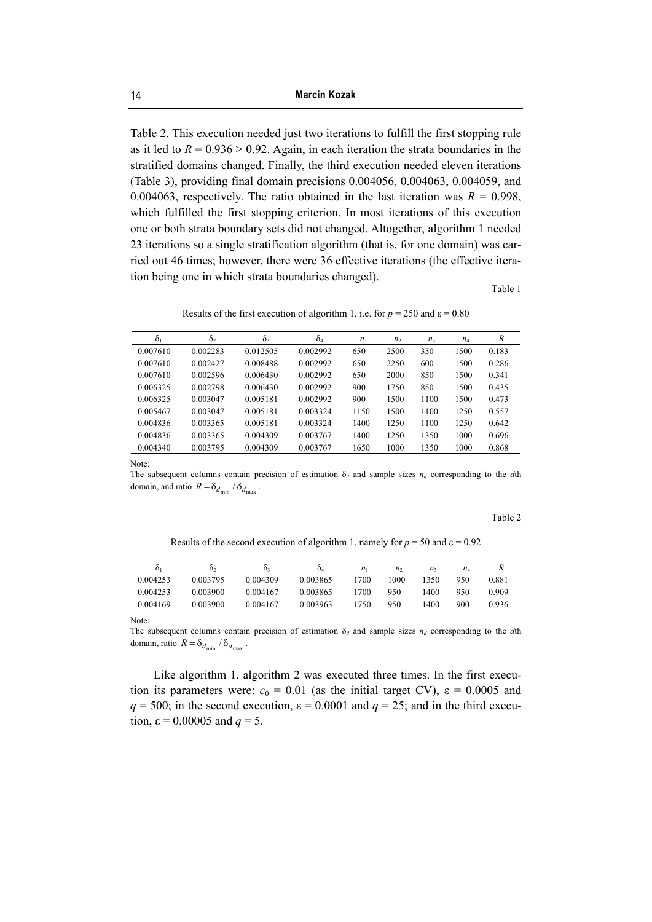Table 2. This execution needed just two iterations to fulfill the first stopping rule as it led to  $R = 0.936 > 0.92$ . Again, in each iteration the strata boundaries in the stratified domains changed. Finally, the third execution needed eleven iterations (Table 3), providing final domain precisions 0.004056, 0.004063, 0.004059, and 0.004063, respectively. The ratio obtained in the last iteration was  $R = 0.998$ , which fulfilled the first stopping criterion. In most iterations of this execution one or both strata boundary sets did not changed. Altogether, algorithm 1 needed 23 iterations so a single stratification algorithm (that is, for one domain) was carried out 46 times; however, there were 36 effective iterations (the effective iteration being one in which strata boundaries changed).

Table 1

Results of the first execution of algorithm 1, i.e. for  $p = 250$  and  $\varepsilon = 0.80$ 

| $\delta_1$ | $\delta_2$ | $\delta_3$ | $\delta_4$ | n <sub>1</sub> | n <sub>2</sub> | $n_3$ | $n_4$ | R     |  |
|------------|------------|------------|------------|----------------|----------------|-------|-------|-------|--|
| 0.007610   | 0.002283   | 0.012505   | 0.002992   | 650            | 2500           | 350   | 1500  | 0.183 |  |
| 0.007610   | 0.002427   | 0.008488   | 0.002992   | 650            | 2250           | 600   | 1500  | 0.286 |  |
| 0.007610   | 0.002596   | 0.006430   | 0.002992   | 650            | 2000           | 850   | 1500  | 0.341 |  |
| 0.006325   | 0.002798   | 0.006430   | 0.002992   | 900            | 1750           | 850   | 1500  | 0.435 |  |
| 0.006325   | 0.003047   | 0.005181   | 0.002992   | 900            | 1500           | 1100  | 1500  | 0.473 |  |
| 0.005467   | 0.003047   | 0.005181   | 0.003324   | 1150           | 1500           | 1100  | 1250  | 0.557 |  |
| 0.004836   | 0.003365   | 0.005181   | 0.003324   | 1400           | 1250           | 1100  | 1250  | 0.642 |  |
| 0.004836   | 0.003365   | 0.004309   | 0.003767   | 1400           | 1250           | 1350  | 1000  | 0.696 |  |
| 0.004340   | 0.003795   | 0.004309   | 0.003767   | 1650           | 1000           | 1350  | 1000  | 0.868 |  |
|            |            |            |            |                |                |       |       |       |  |

Note:

The subsequent columns contain precision of estimation  $\delta_d$  and sample sizes  $n_d$  corresponding to the *dth* domain, and ratio  $R = \delta_{d_{\min}} / \delta_{d_{\max}}$ .

Table 2

Results of the second execution of algorithm 1, namely for  $p = 50$  and  $\varepsilon = 0.92$ 

| $\mathbf{o}$ | 02       | 03       | Ò4       | $n_{1}$ | n,   | n,   | $n_4$ |       |
|--------------|----------|----------|----------|---------|------|------|-------|-------|
| 0.004253     | 0.003795 | 0.004309 | 0.003865 | 1700    | 1000 | 1350 | 950   | 0.881 |
| 0.004253     | 0.003900 | 0.004167 | 0.003865 | 1700    | 950  | 1400 | 950   | 0.909 |
| 0.004169     | 0.003900 | 0.004167 | 0.003963 | 1750    | 950  | 1400 | 900   | 0.936 |

Note:

The subsequent columns contain precision of estimation  $\delta_d$  and sample sizes  $n_d$  corresponding to the *dth* domain, ratio  $R = \delta_{d_{\text{min}}} / \delta_{d_{\text{max}}}$ .

Like algorithm 1, algorithm 2 was executed three times. In the first execution its parameters were:  $c_0 = 0.01$  (as the initial target CV),  $\varepsilon = 0.0005$  and  $q = 500$ ; in the second execution,  $\varepsilon = 0.0001$  and  $q = 25$ ; and in the third execution, ε = 0.00005 and *q* = 5.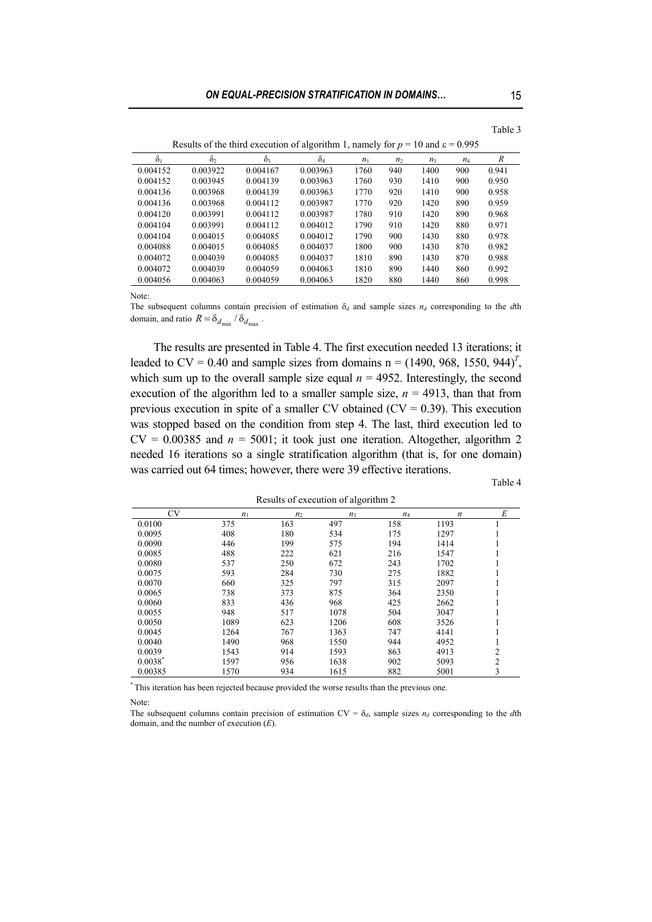| Results of the third execution of algorithm 1, namely for $p = 10$ and $\varepsilon = 0.995$ |          |          |            |       |                |       |       |       |  |
|----------------------------------------------------------------------------------------------|----------|----------|------------|-------|----------------|-------|-------|-------|--|
| $\delta_1$                                                                                   | $\delta$ | $\delta$ | $\delta_4$ | $n_1$ | n <sub>2</sub> | $n_3$ | $n_4$ | R     |  |
| 0.004152                                                                                     | 0.003922 | 0.004167 | 0.003963   | 1760  | 940            | 1400  | 900   | 0.941 |  |
| 0.004152                                                                                     | 0.003945 | 0.004139 | 0.003963   | 1760  | 930            | 1410  | 900   | 0.950 |  |
| 0.004136                                                                                     | 0.003968 | 0.004139 | 0.003963   | 1770  | 920            | 1410  | 900   | 0.958 |  |
| 0.004136                                                                                     | 0.003968 | 0.004112 | 0.003987   | 1770  | 920            | 1420  | 890   | 0.959 |  |
| 0.004120                                                                                     | 0.003991 | 0.004112 | 0.003987   | 1780  | 910            | 1420  | 890   | 0.968 |  |
| 0.004104                                                                                     | 0.003991 | 0.004112 | 0.004012   | 1790  | 910            | 1420  | 880   | 0.971 |  |
| 0.004104                                                                                     | 0.004015 | 0.004085 | 0.004012   | 1790  | 900            | 1430  | 880   | 0.978 |  |
| 0.004088                                                                                     | 0.004015 | 0.004085 | 0.004037   | 1800  | 900            | 1430  | 870   | 0.982 |  |
| 0.004072                                                                                     | 0.004039 | 0.004085 | 0.004037   | 1810  | 890            | 1430  | 870   | 0.988 |  |
| 0.004072                                                                                     | 0.004039 | 0.004059 | 0.004063   | 1810  | 890            | 1440  | 860   | 0.992 |  |
| 0.004056                                                                                     | 0.004063 | 0.004059 | 0.004063   | 1820  | 880            | 1440  | 860   | 0.998 |  |

Note:

The subsequent columns contain precision of estimation  $\delta_d$  and sample sizes  $n_d$  corresponding to the *d*th domain, and ratio  $R = \delta_{d_{\text{min}}} / \delta_{d_{\text{max}}}$ .

The results are presented in Table 4. The first execution needed 13 iterations; it leaded to  $CV = 0.40$  and sample sizes from domains  $n = (1490, 968, 1550, 944)^T$ , which sum up to the overall sample size equal  $n = 4952$ . Interestingly, the second execution of the algorithm led to a smaller sample size,  $n = 4913$ , than that from previous execution in spite of a smaller CV obtained  $(CV = 0.39)$ . This execution was stopped based on the condition from step 4. The last, third execution led to  $CV = 0.00385$  and  $n = 5001$ ; it took just one iteration. Altogether, algorithm 2 needed 16 iterations so a single stratification algorithm (that is, for one domain) was carried out 64 times; however, there were 39 effective iterations.

Table 4

| Results of execution of algorithm 2 |       |                |       |       |                  |                |  |  |
|-------------------------------------|-------|----------------|-------|-------|------------------|----------------|--|--|
| <b>CV</b>                           | $n_1$ | n <sub>2</sub> | $n_3$ | $n_4$ | $\boldsymbol{n}$ | E              |  |  |
| 0.0100                              | 375   | 163            | 497   | 158   | 1193             |                |  |  |
| 0.0095                              | 408   | 180            | 534   | 175   | 1297             |                |  |  |
| 0.0090                              | 446   | 199            | 575   | 194   | 1414             |                |  |  |
| 0.0085                              | 488   | 222            | 621   | 216   | 1547             |                |  |  |
| 0.0080                              | 537   | 250            | 672   | 243   | 1702             |                |  |  |
| 0.0075                              | 593   | 284            | 730   | 275   | 1882             |                |  |  |
| 0.0070                              | 660   | 325            | 797   | 315   | 2097             |                |  |  |
| 0.0065                              | 738   | 373            | 875   | 364   | 2350             |                |  |  |
| 0.0060                              | 833   | 436            | 968   | 425   | 2662             |                |  |  |
| 0.0055                              | 948   | 517            | 1078  | 504   | 3047             |                |  |  |
| 0.0050                              | 1089  | 623            | 1206  | 608   | 3526             |                |  |  |
| 0.0045                              | 1264  | 767            | 1363  | 747   | 4141             |                |  |  |
| 0.0040                              | 1490  | 968            | 1550  | 944   | 4952             |                |  |  |
| 0.0039                              | 1543  | 914            | 1593  | 863   | 4913             | 2              |  |  |
| $0.0038^*$                          | 1597  | 956            | 1638  | 902   | 5093             | $\overline{c}$ |  |  |
| 0.00385                             | 1570  | 934            | 1615  | 882   | 5001             | 3              |  |  |

\* This iteration has been rejected because provided the worse results than the previous one.

Note:

The subsequent columns contain precision of estimation  $CV = \delta_d$ , sample sizes  $n_d$  corresponding to the *d*th domain, and the number of execution (*E*).

Table 3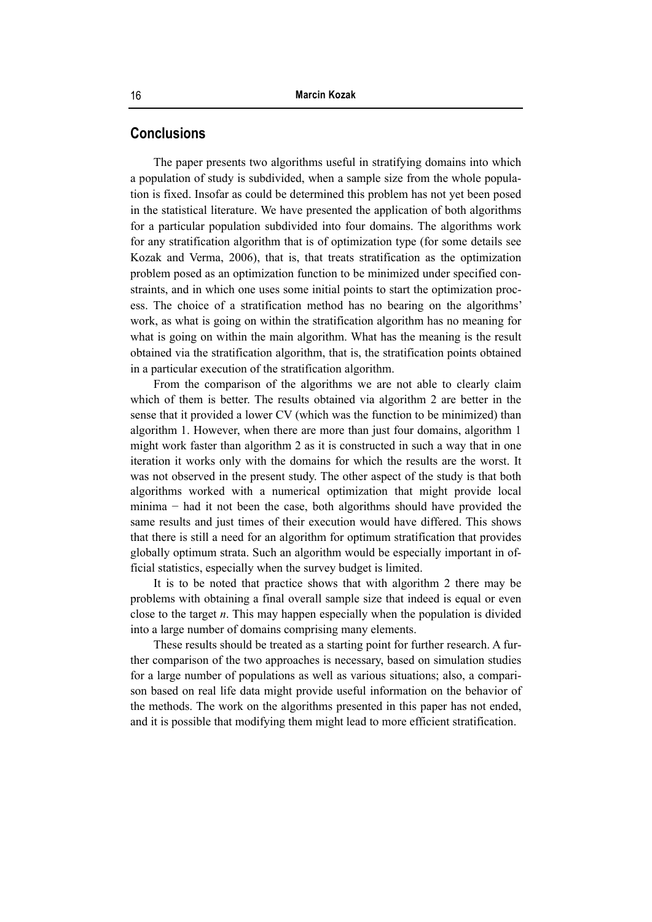## **Conclusions**

The paper presents two algorithms useful in stratifying domains into which a population of study is subdivided, when a sample size from the whole population is fixed. Insofar as could be determined this problem has not yet been posed in the statistical literature. We have presented the application of both algorithms for a particular population subdivided into four domains. The algorithms work for any stratification algorithm that is of optimization type (for some details see Kozak and Verma, 2006), that is, that treats stratification as the optimization problem posed as an optimization function to be minimized under specified constraints, and in which one uses some initial points to start the optimization process. The choice of a stratification method has no bearing on the algorithms' work, as what is going on within the stratification algorithm has no meaning for what is going on within the main algorithm. What has the meaning is the result obtained via the stratification algorithm, that is, the stratification points obtained in a particular execution of the stratification algorithm.

From the comparison of the algorithms we are not able to clearly claim which of them is better. The results obtained via algorithm 2 are better in the sense that it provided a lower CV (which was the function to be minimized) than algorithm 1. However, when there are more than just four domains, algorithm 1 might work faster than algorithm 2 as it is constructed in such a way that in one iteration it works only with the domains for which the results are the worst. It was not observed in the present study. The other aspect of the study is that both algorithms worked with a numerical optimization that might provide local minima − had it not been the case, both algorithms should have provided the same results and just times of their execution would have differed. This shows that there is still a need for an algorithm for optimum stratification that provides globally optimum strata. Such an algorithm would be especially important in official statistics, especially when the survey budget is limited.

It is to be noted that practice shows that with algorithm 2 there may be problems with obtaining a final overall sample size that indeed is equal or even close to the target *n*. This may happen especially when the population is divided into a large number of domains comprising many elements.

These results should be treated as a starting point for further research. A further comparison of the two approaches is necessary, based on simulation studies for a large number of populations as well as various situations; also, a comparison based on real life data might provide useful information on the behavior of the methods. The work on the algorithms presented in this paper has not ended, and it is possible that modifying them might lead to more efficient stratification.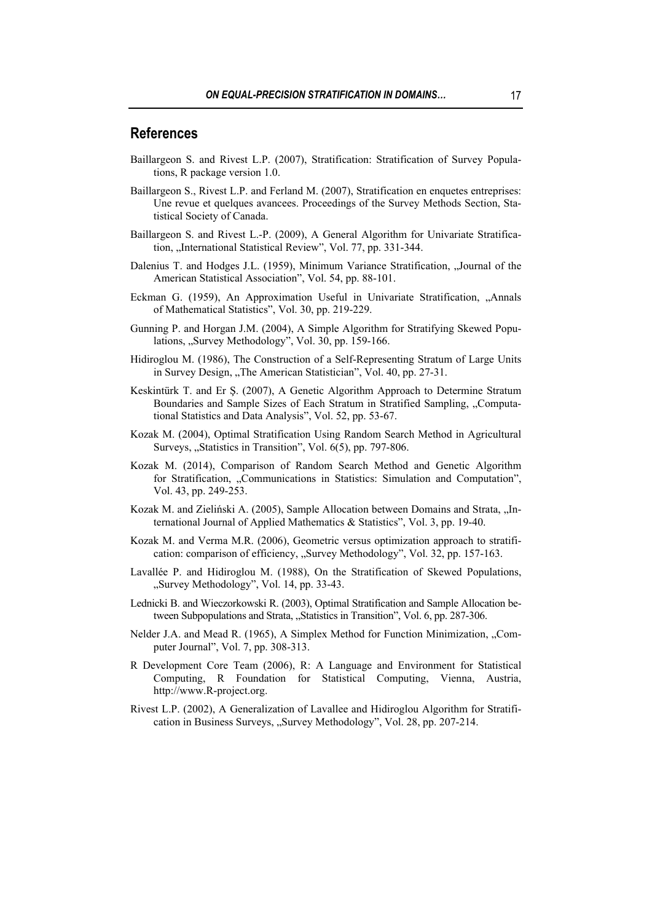## **References**

- Baillargeon S. and Rivest L.P. (2007), Stratification: Stratification of Survey Populations, R package version 1.0.
- Baillargeon S., Rivest L.P. and Ferland M. (2007), Stratification en enquetes entreprises: Une revue et quelques avancees. Proceedings of the Survey Methods Section, Statistical Society of Canada.
- Baillargeon S. and Rivest L.-P. (2009), A General Algorithm for Univariate Stratification, "International Statistical Review", Vol. 77, pp. 331-344.
- Dalenius T. and Hodges J.L. (1959), Minimum Variance Stratification, "Journal of the American Statistical Association", Vol. 54, pp. 88-101.
- Eckman G. (1959), An Approximation Useful in Univariate Stratification, "Annals of Mathematical Statistics", Vol. 30, pp. 219-229.
- Gunning P. and Horgan J.M. (2004), A Simple Algorithm for Stratifying Skewed Populations, "Survey Methodology", Vol. 30, pp. 159-166.
- Hidiroglou M. (1986), The Construction of a Self-Representing Stratum of Large Units in Survey Design, "The American Statistician", Vol. 40, pp. 27-31.
- Keskintürk T. and Er Ş. (2007), A Genetic Algorithm Approach to Determine Stratum Boundaries and Sample Sizes of Each Stratum in Stratified Sampling, "Computational Statistics and Data Analysis", Vol. 52, pp. 53-67.
- Kozak M. (2004), Optimal Stratification Using Random Search Method in Agricultural Surveys, "Statistics in Transition", Vol. 6(5), pp. 797-806.
- Kozak M. (2014), Comparison of Random Search Method and Genetic Algorithm for Stratification, "Communications in Statistics: Simulation and Computation", Vol. 43, pp. 249-253.
- Kozak M. and Zieliński A. (2005), Sample Allocation between Domains and Strata, "International Journal of Applied Mathematics & Statistics", Vol. 3, pp. 19-40.
- Kozak M. and Verma M.R. (2006), Geometric versus optimization approach to stratification: comparison of efficiency, "Survey Methodology", Vol. 32, pp. 157-163.
- Lavallée P. and Hidiroglou M. (1988), On the Stratification of Skewed Populations, "Survey Methodology", Vol. 14, pp. 33-43.
- Lednicki B. and Wieczorkowski R. (2003), Optimal Stratification and Sample Allocation between Subpopulations and Strata, "Statistics in Transition", Vol. 6, pp. 287-306.
- Nelder J.A. and Mead R. (1965), A Simplex Method for Function Minimization, "Computer Journal", Vol. 7, pp. 308-313.
- R Development Core Team (2006), R: A Language and Environment for Statistical Computing, R Foundation for Statistical Computing, Vienna, Austria, http://www.R-project.org.
- Rivest L.P. (2002), A Generalization of Lavallee and Hidiroglou Algorithm for Stratification in Business Surveys, "Survey Methodology", Vol. 28, pp. 207-214.